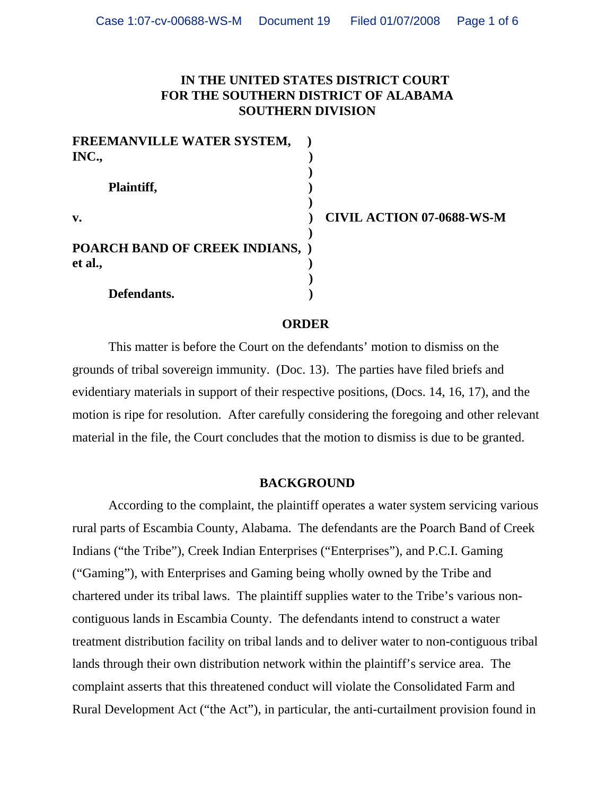# **IN THE UNITED STATES DISTRICT COURT FOR THE SOUTHERN DISTRICT OF ALABAMA SOUTHERN DIVISION**

| FREEMANVILLE WATER SYSTEM,             |                                  |
|----------------------------------------|----------------------------------|
| INC.,                                  |                                  |
| Plaintiff,                             |                                  |
| v.                                     | <b>CIVIL ACTION 07-0688-WS-M</b> |
| <b>POARCH BAND OF CREEK INDIANS, )</b> |                                  |
| et al.,                                |                                  |
|                                        |                                  |
| Defendants.                            |                                  |

#### **ORDER**

This matter is before the Court on the defendants' motion to dismiss on the grounds of tribal sovereign immunity. (Doc. 13). The parties have filed briefs and evidentiary materials in support of their respective positions, (Docs. 14, 16, 17), and the motion is ripe for resolution. After carefully considering the foregoing and other relevant material in the file, the Court concludes that the motion to dismiss is due to be granted.

### **BACKGROUND**

According to the complaint, the plaintiff operates a water system servicing various rural parts of Escambia County, Alabama. The defendants are the Poarch Band of Creek Indians ("the Tribe"), Creek Indian Enterprises ("Enterprises"), and P.C.I. Gaming ("Gaming"), with Enterprises and Gaming being wholly owned by the Tribe and chartered under its tribal laws. The plaintiff supplies water to the Tribe's various noncontiguous lands in Escambia County. The defendants intend to construct a water treatment distribution facility on tribal lands and to deliver water to non-contiguous tribal lands through their own distribution network within the plaintiff's service area. The complaint asserts that this threatened conduct will violate the Consolidated Farm and Rural Development Act ("the Act"), in particular, the anti-curtailment provision found in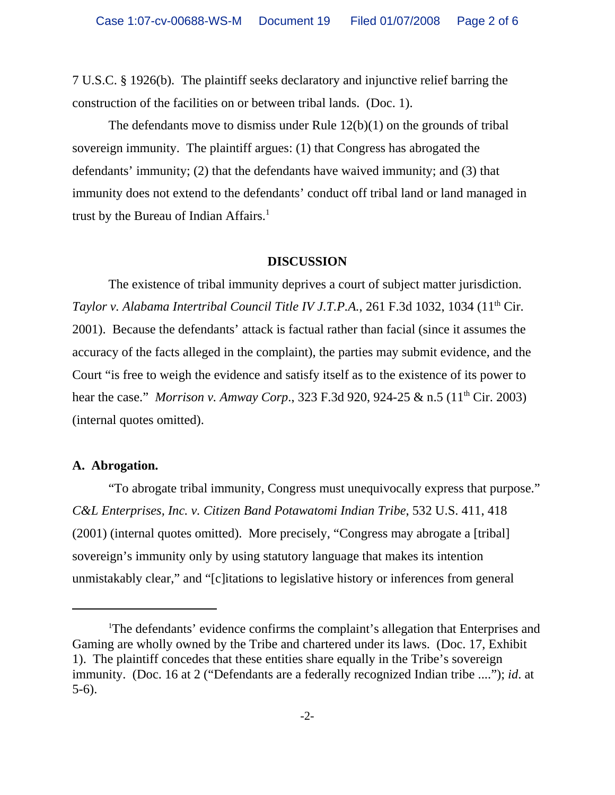7 U.S.C. § 1926(b). The plaintiff seeks declaratory and injunctive relief barring the construction of the facilities on or between tribal lands. (Doc. 1).

The defendants move to dismiss under Rule  $12(b)(1)$  on the grounds of tribal sovereign immunity. The plaintiff argues: (1) that Congress has abrogated the defendants' immunity; (2) that the defendants have waived immunity; and (3) that immunity does not extend to the defendants' conduct off tribal land or land managed in trust by the Bureau of Indian Affairs.<sup>1</sup>

### **DISCUSSION**

The existence of tribal immunity deprives a court of subject matter jurisdiction. Taylor v. Alabama Intertribal Council Title IV J.T.P.A., 261 F.3d 1032, 1034 (11<sup>th</sup> Cir. 2001). Because the defendants' attack is factual rather than facial (since it assumes the accuracy of the facts alleged in the complaint), the parties may submit evidence, and the Court "is free to weigh the evidence and satisfy itself as to the existence of its power to hear the case." *Morrison v. Amway Corp.*, 323 F.3d 920, 924-25 & n.5 (11<sup>th</sup> Cir. 2003) (internal quotes omitted).

## **A. Abrogation.**

"To abrogate tribal immunity, Congress must unequivocally express that purpose." *C&L Enterprises, Inc. v. Citizen Band Potawatomi Indian Tribe*, 532 U.S. 411, 418 (2001) (internal quotes omitted). More precisely, "Congress may abrogate a [tribal] sovereign's immunity only by using statutory language that makes its intention unmistakably clear," and "[c]itations to legislative history or inferences from general

<sup>&</sup>lt;sup>1</sup>The defendants' evidence confirms the complaint's allegation that Enterprises and Gaming are wholly owned by the Tribe and chartered under its laws. (Doc. 17, Exhibit 1). The plaintiff concedes that these entities share equally in the Tribe's sovereign immunity. (Doc. 16 at 2 ("Defendants are a federally recognized Indian tribe ...."); *id*. at 5-6).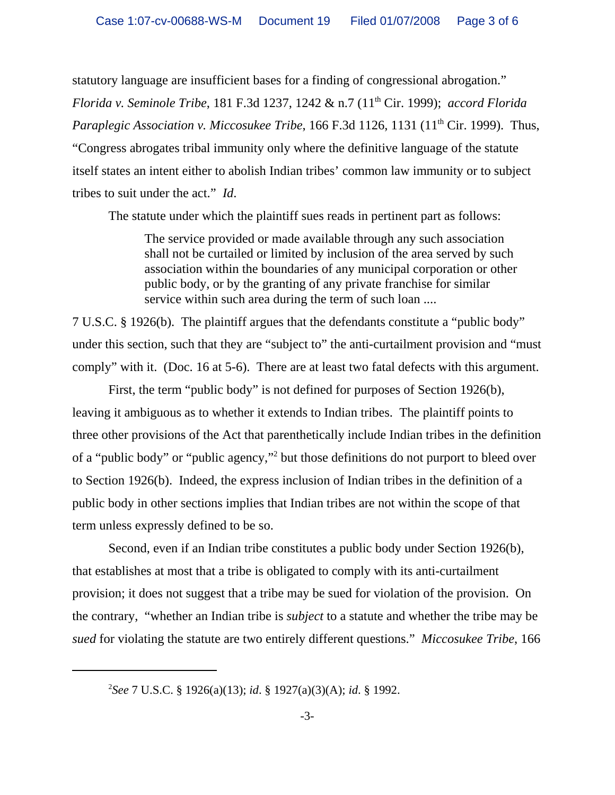statutory language are insufficient bases for a finding of congressional abrogation." *Florida v. Seminole Tribe*, 181 F.3d 1237, 1242 & n.7 (11th Cir. 1999); *accord Florida Paraplegic Association v. Miccosukee Tribe*, 166 F.3d 1126, 1131 (11<sup>th</sup> Cir. 1999). Thus, "Congress abrogates tribal immunity only where the definitive language of the statute itself states an intent either to abolish Indian tribes' common law immunity or to subject tribes to suit under the act." *Id*.

The statute under which the plaintiff sues reads in pertinent part as follows:

The service provided or made available through any such association shall not be curtailed or limited by inclusion of the area served by such association within the boundaries of any municipal corporation or other public body, or by the granting of any private franchise for similar service within such area during the term of such loan ....

7 U.S.C. § 1926(b). The plaintiff argues that the defendants constitute a "public body" under this section, such that they are "subject to" the anti-curtailment provision and "must comply" with it. (Doc. 16 at 5-6). There are at least two fatal defects with this argument.

First, the term "public body" is not defined for purposes of Section 1926(b), leaving it ambiguous as to whether it extends to Indian tribes. The plaintiff points to three other provisions of the Act that parenthetically include Indian tribes in the definition of a "public body" or "public agency,"<sup>2</sup> but those definitions do not purport to bleed over to Section 1926(b). Indeed, the express inclusion of Indian tribes in the definition of a public body in other sections implies that Indian tribes are not within the scope of that term unless expressly defined to be so.

Second, even if an Indian tribe constitutes a public body under Section 1926(b), that establishes at most that a tribe is obligated to comply with its anti-curtailment provision; it does not suggest that a tribe may be sued for violation of the provision. On the contrary, "whether an Indian tribe is *subject* to a statute and whether the tribe may be *sued* for violating the statute are two entirely different questions." *Miccosukee Tribe*, 166

<sup>2</sup> *See* 7 U.S.C. § 1926(a)(13); *id*. § 1927(a)(3)(A); *id*. § 1992.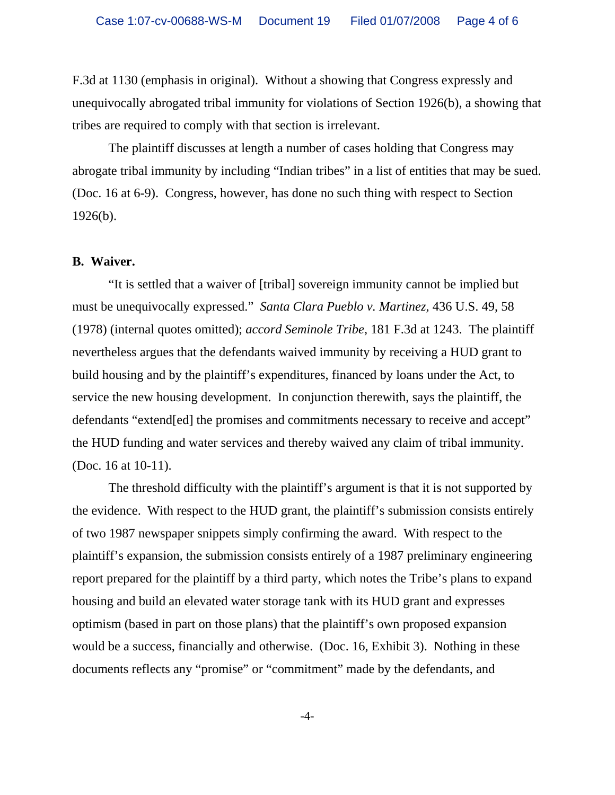F.3d at 1130 (emphasis in original). Without a showing that Congress expressly and unequivocally abrogated tribal immunity for violations of Section 1926(b), a showing that tribes are required to comply with that section is irrelevant.

The plaintiff discusses at length a number of cases holding that Congress may abrogate tribal immunity by including "Indian tribes" in a list of entities that may be sued. (Doc. 16 at 6-9). Congress, however, has done no such thing with respect to Section 1926(b).

### **B. Waiver.**

"It is settled that a waiver of [tribal] sovereign immunity cannot be implied but must be unequivocally expressed." *Santa Clara Pueblo v. Martinez*, 436 U.S. 49, 58 (1978) (internal quotes omitted); *accord Seminole Tribe*, 181 F.3d at 1243. The plaintiff nevertheless argues that the defendants waived immunity by receiving a HUD grant to build housing and by the plaintiff's expenditures, financed by loans under the Act, to service the new housing development. In conjunction therewith, says the plaintiff, the defendants "extend[ed] the promises and commitments necessary to receive and accept" the HUD funding and water services and thereby waived any claim of tribal immunity. (Doc. 16 at 10-11).

The threshold difficulty with the plaintiff's argument is that it is not supported by the evidence. With respect to the HUD grant, the plaintiff's submission consists entirely of two 1987 newspaper snippets simply confirming the award. With respect to the plaintiff's expansion, the submission consists entirely of a 1987 preliminary engineering report prepared for the plaintiff by a third party, which notes the Tribe's plans to expand housing and build an elevated water storage tank with its HUD grant and expresses optimism (based in part on those plans) that the plaintiff's own proposed expansion would be a success, financially and otherwise. (Doc. 16, Exhibit 3). Nothing in these documents reflects any "promise" or "commitment" made by the defendants, and

-4-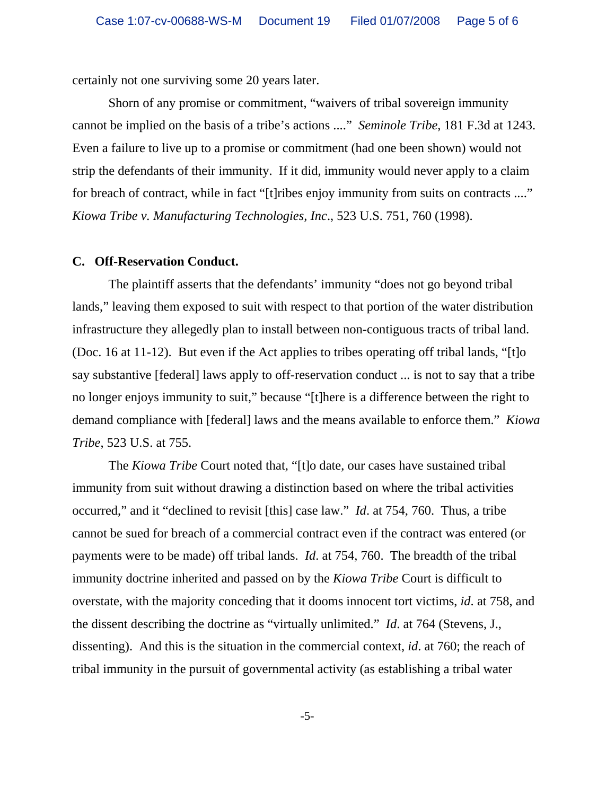certainly not one surviving some 20 years later.

Shorn of any promise or commitment, "waivers of tribal sovereign immunity cannot be implied on the basis of a tribe's actions ...." *Seminole Tribe*, 181 F.3d at 1243. Even a failure to live up to a promise or commitment (had one been shown) would not strip the defendants of their immunity. If it did, immunity would never apply to a claim for breach of contract, while in fact "[t]ribes enjoy immunity from suits on contracts ...." *Kiowa Tribe v. Manufacturing Technologies, Inc*., 523 U.S. 751, 760 (1998).

# **C. Off-Reservation Conduct.**

The plaintiff asserts that the defendants' immunity "does not go beyond tribal lands," leaving them exposed to suit with respect to that portion of the water distribution infrastructure they allegedly plan to install between non-contiguous tracts of tribal land. (Doc. 16 at 11-12). But even if the Act applies to tribes operating off tribal lands, "[t]o say substantive [federal] laws apply to off-reservation conduct ... is not to say that a tribe no longer enjoys immunity to suit," because "[t]here is a difference between the right to demand compliance with [federal] laws and the means available to enforce them." *Kiowa Tribe*, 523 U.S. at 755.

The *Kiowa Tribe* Court noted that, "[t]o date, our cases have sustained tribal immunity from suit without drawing a distinction based on where the tribal activities occurred," and it "declined to revisit [this] case law." *Id*. at 754, 760. Thus, a tribe cannot be sued for breach of a commercial contract even if the contract was entered (or payments were to be made) off tribal lands. *Id*. at 754, 760. The breadth of the tribal immunity doctrine inherited and passed on by the *Kiowa Tribe* Court is difficult to overstate, with the majority conceding that it dooms innocent tort victims, *id*. at 758, and the dissent describing the doctrine as "virtually unlimited." *Id*. at 764 (Stevens, J., dissenting). And this is the situation in the commercial context, *id*. at 760; the reach of tribal immunity in the pursuit of governmental activity (as establishing a tribal water

-5-